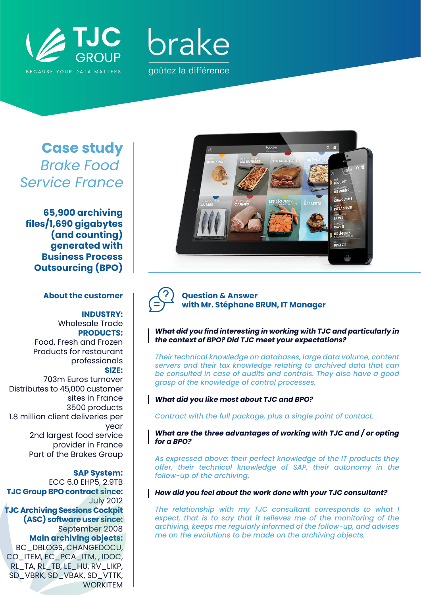



# **Case study** *Brake Food Service France*

**65,900 archiving files/1,690 gigabytes (and counting) generated with Business Process Outsourcing (BPO)**

### **About the customer**

## **INDUSTRY:**

Wholesale Trade **PRODUCTS:** Food, Fresh and Frozen Products for restaurant professionals **SIZE:** 703m Euros turnover Distributes to 45,000 customer sites in France 3500 products 1.8 million client deliveries per year 2nd largest food service provider in France Part of the Brakes Group

**SAP System:** ECC 6.0 EHP5, 2.9TB **TJC Group BPO contract since:** July 2012 **TJC Archiving Sessions Cockpit (ASC) software user since:** September 2008 **Main archiving objects:** BC\_DBLOGS, CHANGEDOCU, CO\_ITEM, EC\_PCA\_ITM, , IDOC, RL\_TA, RL\_TB, LE\_HU, RV\_LIKP, SD\_VBRK, SD\_VBAK, SD\_VTTK, **WORKITEM** 



**Question & Answer with Mr. Stéphane BRUN, IT Manager**

#### *What did you find interesting in working with TJC and particularly in the context of BPO? Did TJC meet your expectations?*

*Their technical knowledge on databases, large data volume, content servers and their tax knowledge relating to archived data that can be consulted in case of audits and controls. They also have a good grasp of the knowledge of control processes.*

#### *What did you like most about TJC and BPO?*

*Contract with the full package, plus a single point of contact.*

*What are the three advantages of working with TJC and / or opting for a BPO?*

*As expressed above: their perfect knowledge of the IT products they offer, their technical knowledge of SAP, their autonomy in the follow-up of the archiving.*

#### *How did you feel about the work done with your TJC consultant?*

*The relationship with my TJC consultant corresponds to what I expect, that is to say that it relieves me of the monitoring of the archiving, keeps me regularly informed of the follow-up, and advises me on the evolutions to be made on the archiving objects.*